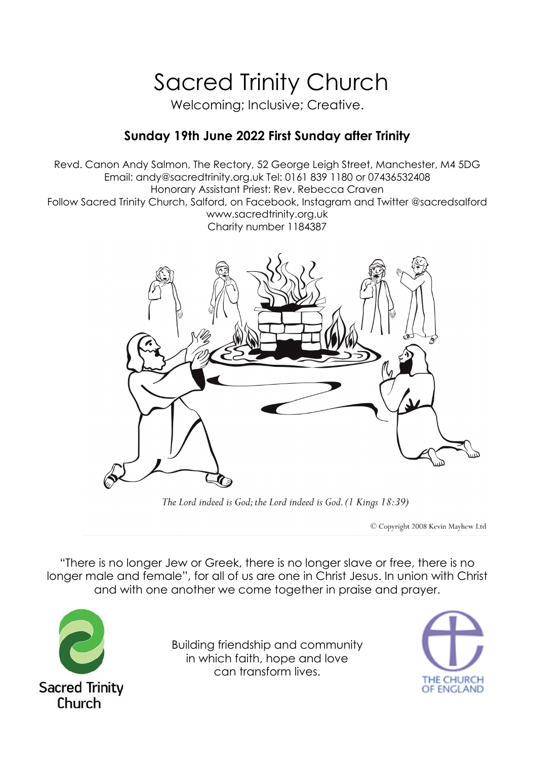# Sacred Trinity Church

Welcoming; Inclusive; Creative.

# **Sunday 19th June 2022 First Sunday after Trinity**

Revd. Canon Andy Salmon, The Rectory, 52 George Leigh Street, Manchester, M4 5DG Email: andy@sacredtrinity.org.uk Tel: 0161 839 1180 or 07436532408 Honorary Assistant Priest: Rev. Rebecca Craven Follow Sacred Trinity Church, Salford, on Facebook, Instagram and Twitter @sacredsalford www.sacredtrinity.org.uk Charity number 1184387



The Lord indeed is God; the Lord indeed is God. (1 Kings 18:39)

C Copyright 2008 Kevin Mayhew Ltd

"There is no longer Jew or Greek, there is no longer slave or free, there is no longer male and female", for all of us are one in Christ Jesus. In union with Christ and with one another we come together in praise and prayer.



Building friendship and community in which faith, hope and love can transform lives.

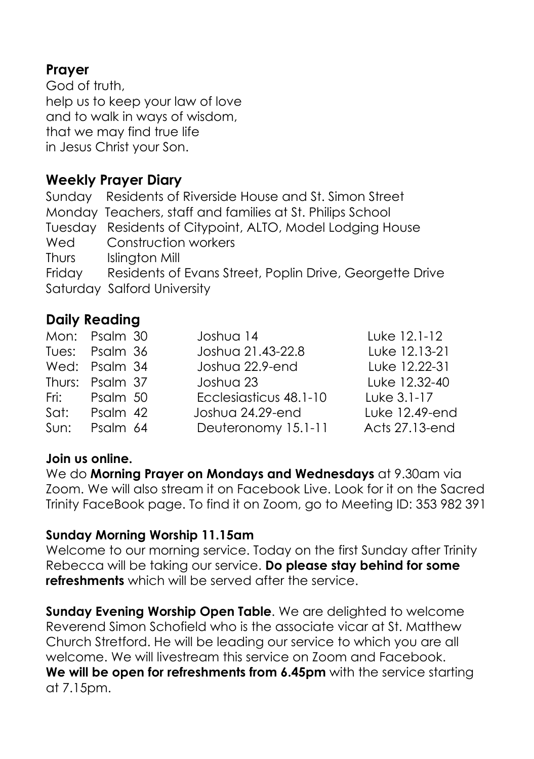# **Prayer**

God of truth, help us to keep your law of love and to walk in ways of wisdom, that we may find true life in Jesus Christ your Son.

# **Weekly Prayer Diary**

Sunday Residents of Riverside House and St. Simon Street Monday Teachers, staff and families at St. Philips School Tuesday Residents of Citypoint, ALTO, Model Lodging House Wed Construction workers Thurs Islinaton Mill Friday Residents of Evans Street, Poplin Drive, Georgette Drive Saturday Salford University

# **Daily Reading**

|      | Mon: Psalm 30   | Joshua 14              | Luke 12.1-12   |
|------|-----------------|------------------------|----------------|
|      | Tues: Psalm 36  | Joshua 21.43-22.8      | Luke 12.13-21  |
|      | Wed: Psalm 34   | Joshua 22.9-end        | Luke 12.22-31  |
|      | Thurs: Psalm 37 | Joshua 23              | Luke 12.32-40  |
|      | Fri: Psalm 50   | Ecclesiasticus 48.1-10 | Luke 3.1-17    |
| Sat: | Psalm 42        | Joshua 24.29-end       | Luke 12.49-end |
| Sun: | Psalm 64        | Deuteronomy 15.1-11    | Acts 27.13-end |

#### **Join us online.**

We do **Morning Prayer on Mondays and Wednesdays** at 9.30am via Zoom. We will also stream it on Facebook Live. Look for it on the Sacred Trinity FaceBook page. To find it on Zoom, go to Meeting ID: 353 982 391

#### **Sunday Morning Worship 11.15am**

Welcome to our morning service. Today on the first Sunday after Trinity Rebecca will be taking our service. **Do please stay behind for some refreshments** which will be served after the service.

**Sunday Evening Worship Open Table**. We are delighted to welcome Reverend Simon Schofield who is the associate vicar at St. Matthew Church Stretford. He will be leading our service to which you are all welcome. We will livestream this service on Zoom and Facebook. **We will be open for refreshments from 6.45pm** with the service starting at 7.15pm.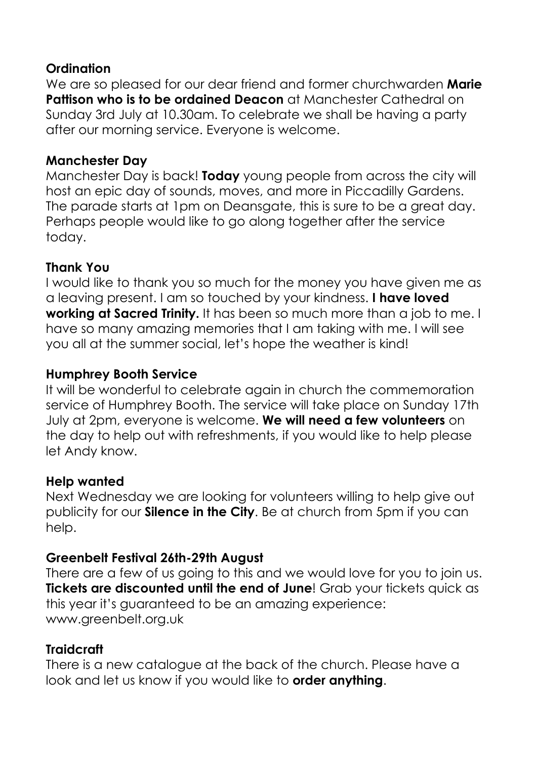#### **Ordination**

We are so pleased for our dear friend and former churchwarden **Marie Pattison who is to be ordained Deacon** at Manchester Cathedral on Sunday 3rd July at 10.30am. To celebrate we shall be having a party after our morning service. Everyone is welcome.

#### **Manchester Day**

Manchester Day is back! **Today** young people from across the city will host an epic day of sounds, moves, and more in Piccadilly Gardens. The parade starts at 1pm on Deansgate, this is sure to be a great day. Perhaps people would like to go along together after the service today.

#### **Thank You**

I would like to thank you so much for the money you have given me as a leaving present. I am so touched by your kindness. **I have loved working at Sacred Trinity.** It has been so much more than a job to me. I have so many amazing memories that I am taking with me. I will see you all at the summer social, let's hope the weather is kind!

#### **Humphrey Booth Service**

It will be wonderful to celebrate again in church the commemoration service of Humphrey Booth. The service will take place on Sunday 17th July at 2pm, everyone is welcome. **We will need a few volunteers** on the day to help out with refreshments, if you would like to help please let Andy know.

#### **Help wanted**

Next Wednesday we are looking for volunteers willing to help give out publicity for our **Silence in the City**. Be at church from 5pm if you can help.

#### **Greenbelt Festival 26th-29th August**

There are a few of us going to this and we would love for you to join us. **Tickets are discounted until the end of June**! Grab your tickets quick as this year it's guaranteed to be an amazing experience: www.greenbelt.org.uk

#### **Traidcraft**

There is a new catalogue at the back of the church. Please have a look and let us know if you would like to **order anything**.